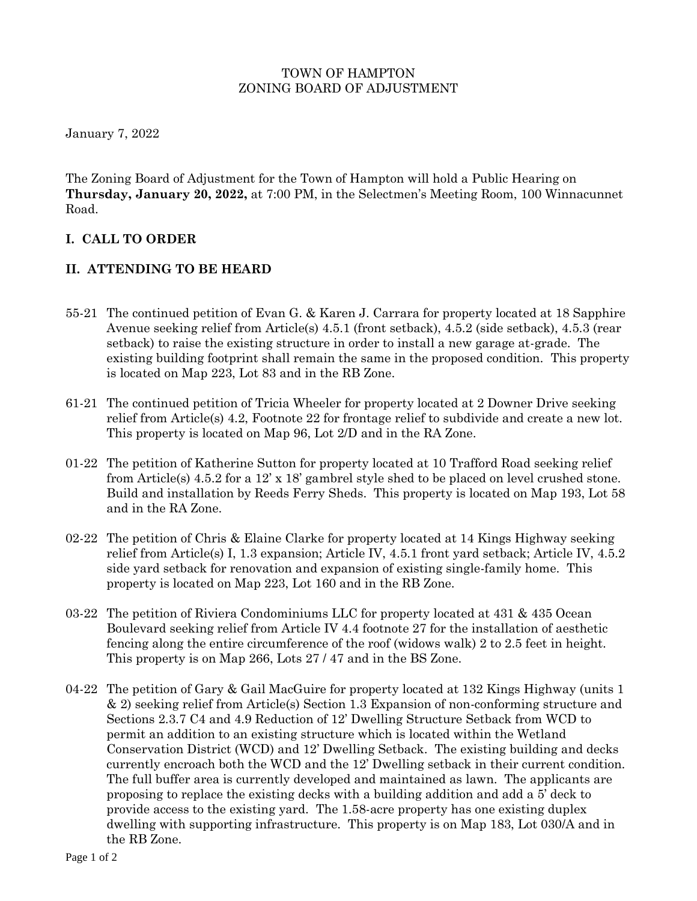### TOWN OF HAMPTON ZONING BOARD OF ADJUSTMENT

January 7, 2022

The Zoning Board of Adjustment for the Town of Hampton will hold a Public Hearing on **Thursday, January 20, 2022,** at 7:00 PM, in the Selectmen's Meeting Room, 100 Winnacunnet Road.

# **I. CALL TO ORDER**

## **II. ATTENDING TO BE HEARD**

- 55-21 The continued petition of Evan G. & Karen J. Carrara for property located at 18 Sapphire Avenue seeking relief from Article(s) 4.5.1 (front setback), 4.5.2 (side setback), 4.5.3 (rear setback) to raise the existing structure in order to install a new garage at-grade. The existing building footprint shall remain the same in the proposed condition. This property is located on Map 223, Lot 83 and in the RB Zone.
- 61-21 The continued petition of Tricia Wheeler for property located at 2 Downer Drive seeking relief from Article(s) 4.2, Footnote 22 for frontage relief to subdivide and create a new lot. This property is located on Map 96, Lot 2/D and in the RA Zone.
- 01-22 The petition of Katherine Sutton for property located at 10 Trafford Road seeking relief from Article(s) 4.5.2 for a 12' x 18' gambrel style shed to be placed on level crushed stone. Build and installation by Reeds Ferry Sheds. This property is located on Map 193, Lot 58 and in the RA Zone.
- 02-22 The petition of Chris & Elaine Clarke for property located at 14 Kings Highway seeking relief from Article(s) I, 1.3 expansion; Article IV, 4.5.1 front yard setback; Article IV, 4.5.2 side yard setback for renovation and expansion of existing single-family home. This property is located on Map 223, Lot 160 and in the RB Zone.
- 03-22 The petition of Riviera Condominiums LLC for property located at 431 & 435 Ocean Boulevard seeking relief from Article IV 4.4 footnote 27 for the installation of aesthetic fencing along the entire circumference of the roof (widows walk) 2 to 2.5 feet in height. This property is on Map 266, Lots 27 / 47 and in the BS Zone.
- 04-22 The petition of Gary & Gail MacGuire for property located at 132 Kings Highway (units 1 & 2) seeking relief from Article(s) Section 1.3 Expansion of non-conforming structure and Sections 2.3.7 C4 and 4.9 Reduction of 12' Dwelling Structure Setback from WCD to permit an addition to an existing structure which is located within the Wetland Conservation District (WCD) and 12' Dwelling Setback. The existing building and decks currently encroach both the WCD and the 12' Dwelling setback in their current condition. The full buffer area is currently developed and maintained as lawn. The applicants are proposing to replace the existing decks with a building addition and add a 5' deck to provide access to the existing yard. The 1.58-acre property has one existing duplex dwelling with supporting infrastructure. This property is on Map 183, Lot 030/A and in the RB Zone.